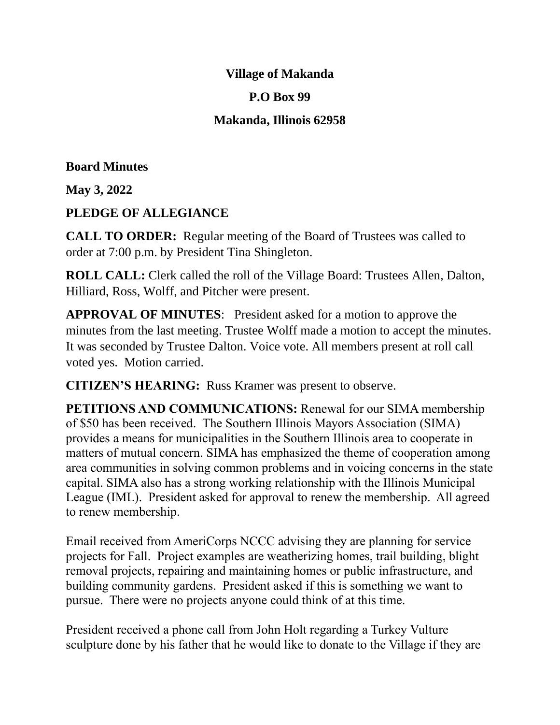### **Village of Makanda**

### **P.O Box 99**

## **Makanda, Illinois 62958**

#### **Board Minutes**

**May 3, 2022**

### **PLEDGE OF ALLEGIANCE**

**CALL TO ORDER:** Regular meeting of the Board of Trustees was called to order at 7:00 p.m. by President Tina Shingleton.

**ROLL CALL:** Clerk called the roll of the Village Board: Trustees Allen, Dalton, Hilliard, Ross, Wolff, and Pitcher were present.

**APPROVAL OF MINUTES**: President asked for a motion to approve the minutes from the last meeting. Trustee Wolff made a motion to accept the minutes. It was seconded by Trustee Dalton. Voice vote. All members present at roll call voted yes. Motion carried.

**CITIZEN'S HEARING:** Russ Kramer was present to observe.

**PETITIONS AND COMMUNICATIONS:** Renewal for our SIMA membership of \$50 has been received. The Southern Illinois Mayors Association (SIMA) provides a means for municipalities in the Southern Illinois area to cooperate in matters of mutual concern. SIMA has emphasized the theme of cooperation among area communities in solving common problems and in voicing concerns in the state capital. SIMA also has a strong working relationship with the Illinois Municipal League (IML). President asked for approval to renew the membership. All agreed to renew membership.

Email received from AmeriCorps NCCC advising they are planning for service projects for Fall. Project examples are weatherizing homes, trail building, blight removal projects, repairing and maintaining homes or public infrastructure, and building community gardens. President asked if this is something we want to pursue. There were no projects anyone could think of at this time.

President received a phone call from John Holt regarding a Turkey Vulture sculpture done by his father that he would like to donate to the Village if they are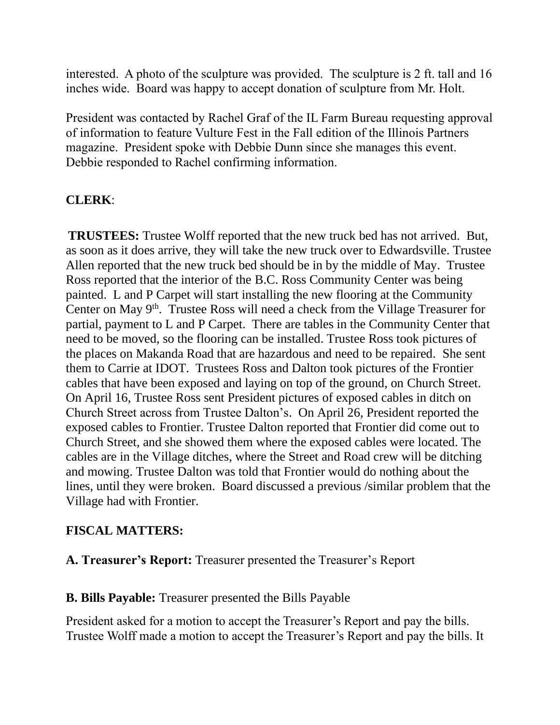interested. A photo of the sculpture was provided. The sculpture is 2 ft. tall and 16 inches wide. Board was happy to accept donation of sculpture from Mr. Holt.

President was contacted by Rachel Graf of the IL Farm Bureau requesting approval of information to feature Vulture Fest in the Fall edition of the Illinois Partners magazine. President spoke with Debbie Dunn since she manages this event. Debbie responded to Rachel confirming information.

## **CLERK**:

**TRUSTEES:** Trustee Wolff reported that the new truck bed has not arrived. But, as soon as it does arrive, they will take the new truck over to Edwardsville. Trustee Allen reported that the new truck bed should be in by the middle of May. Trustee Ross reported that the interior of the B.C. Ross Community Center was being painted. L and P Carpet will start installing the new flooring at the Community Center on May  $9<sup>th</sup>$ . Trustee Ross will need a check from the Village Treasurer for partial, payment to L and P Carpet. There are tables in the Community Center that need to be moved, so the flooring can be installed. Trustee Ross took pictures of the places on Makanda Road that are hazardous and need to be repaired. She sent them to Carrie at IDOT. Trustees Ross and Dalton took pictures of the Frontier cables that have been exposed and laying on top of the ground, on Church Street. On April 16, Trustee Ross sent President pictures of exposed cables in ditch on Church Street across from Trustee Dalton's. On April 26, President reported the exposed cables to Frontier. Trustee Dalton reported that Frontier did come out to Church Street, and she showed them where the exposed cables were located. The cables are in the Village ditches, where the Street and Road crew will be ditching and mowing. Trustee Dalton was told that Frontier would do nothing about the lines, until they were broken. Board discussed a previous /similar problem that the Village had with Frontier.

## **FISCAL MATTERS:**

**A. Treasurer's Report:** Treasurer presented the Treasurer's Report

#### **B. Bills Payable:** Treasurer presented the Bills Payable

President asked for a motion to accept the Treasurer's Report and pay the bills. Trustee Wolff made a motion to accept the Treasurer's Report and pay the bills. It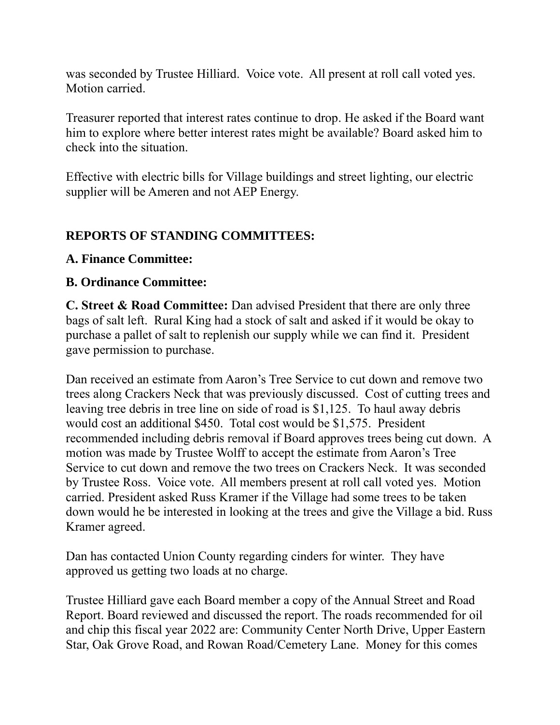was seconded by Trustee Hilliard. Voice vote. All present at roll call voted yes. Motion carried.

Treasurer reported that interest rates continue to drop. He asked if the Board want him to explore where better interest rates might be available? Board asked him to check into the situation.

Effective with electric bills for Village buildings and street lighting, our electric supplier will be Ameren and not AEP Energy.

## **REPORTS OF STANDING COMMITTEES:**

### **A. Finance Committee:**

### **B. Ordinance Committee:**

**C. Street & Road Committee:** Dan advised President that there are only three bags of salt left. Rural King had a stock of salt and asked if it would be okay to purchase a pallet of salt to replenish our supply while we can find it. President gave permission to purchase.

Dan received an estimate from Aaron's Tree Service to cut down and remove two trees along Crackers Neck that was previously discussed. Cost of cutting trees and leaving tree debris in tree line on side of road is \$1,125. To haul away debris would cost an additional \$450. Total cost would be \$1,575. President recommended including debris removal if Board approves trees being cut down. A motion was made by Trustee Wolff to accept the estimate from Aaron's Tree Service to cut down and remove the two trees on Crackers Neck. It was seconded by Trustee Ross. Voice vote. All members present at roll call voted yes. Motion carried. President asked Russ Kramer if the Village had some trees to be taken down would he be interested in looking at the trees and give the Village a bid. Russ Kramer agreed.

Dan has contacted Union County regarding cinders for winter. They have approved us getting two loads at no charge.

Trustee Hilliard gave each Board member a copy of the Annual Street and Road Report. Board reviewed and discussed the report. The roads recommended for oil and chip this fiscal year 2022 are: Community Center North Drive, Upper Eastern Star, Oak Grove Road, and Rowan Road/Cemetery Lane. Money for this comes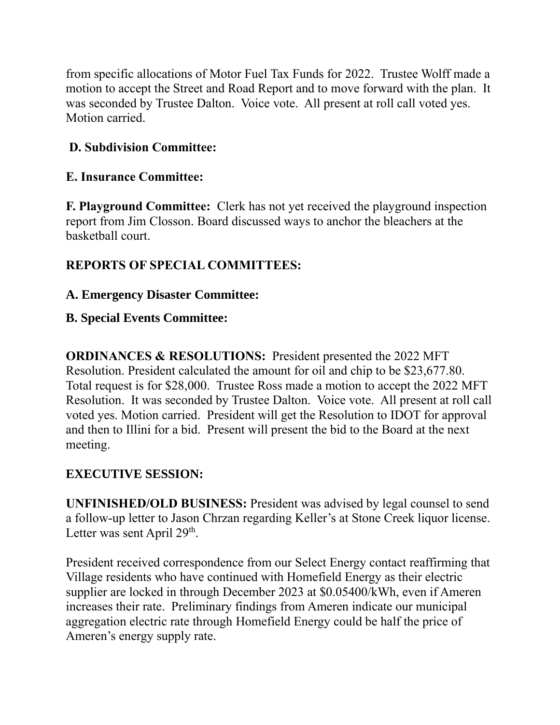from specific allocations of Motor Fuel Tax Funds for 2022. Trustee Wolff made a motion to accept the Street and Road Report and to move forward with the plan. It was seconded by Trustee Dalton. Voice vote. All present at roll call voted yes. Motion carried.

# **D. Subdivision Committee:**

## **E. Insurance Committee:**

**F. Playground Committee:** Clerk has not yet received the playground inspection report from Jim Closson. Board discussed ways to anchor the bleachers at the basketball court.

# **REPORTS OF SPECIAL COMMITTEES:**

## **A. Emergency Disaster Committee:**

## **B. Special Events Committee:**

**ORDINANCES & RESOLUTIONS:** President presented the 2022 MFT Resolution. President calculated the amount for oil and chip to be \$23,677.80. Total request is for \$28,000. Trustee Ross made a motion to accept the 2022 MFT Resolution. It was seconded by Trustee Dalton. Voice vote. All present at roll call voted yes. Motion carried. President will get the Resolution to IDOT for approval and then to Illini for a bid. Present will present the bid to the Board at the next meeting.

## **EXECUTIVE SESSION:**

**UNFINISHED/OLD BUSINESS:** President was advised by legal counsel to send a follow-up letter to Jason Chrzan regarding Keller's at Stone Creek liquor license. Letter was sent April  $29<sup>th</sup>$ .

President received correspondence from our Select Energy contact reaffirming that Village residents who have continued with Homefield Energy as their electric supplier are locked in through December 2023 at \$0.05400/kWh, even if Ameren increases their rate. Preliminary findings from Ameren indicate our municipal aggregation electric rate through Homefield Energy could be half the price of Ameren's energy supply rate.